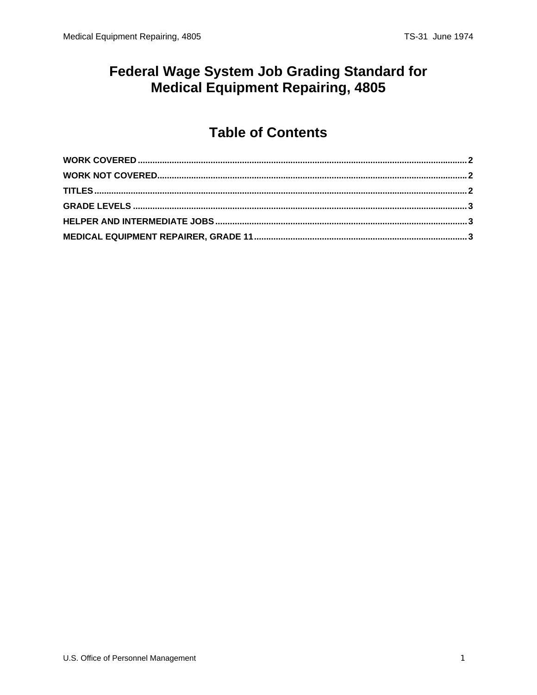# **Federal Wage System Job Grading Standard for Medical Equipment Repairing, 4805**

# **Table of Contents**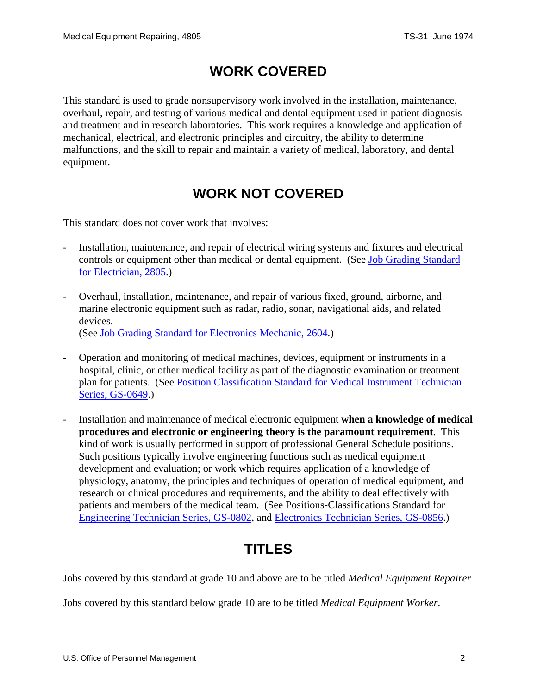### **WORK COVERED**

<span id="page-1-0"></span>This standard is used to grade nonsupervisory work involved in the installation, maintenance, overhaul, repair, and testing of various medical and dental equipment used in patient diagnosis and treatment and in research laboratories. This work requires a knowledge and application of mechanical, electrical, and electronic principles and circuitry, the ability to determine malfunctions, and the skill to repair and maintain a variety of medical, laboratory, and dental equipment.

# **WORK NOT COVERED**

This standard does not cover work that involves:

- Installation, maintenance, and repair of electrical wiring systems and fixtures and electrical controls or equipment other than medical or dental equipment. (See [Job Grading Standard](/fedclass/fws2805.pdf)  [for Electrician, 2805](/fedclass/fws2805.pdf).)
- Overhaul, installation, maintenance, and repair of various fixed, ground, airborne, and marine electronic equipment such as radar, radio, sonar, navigational aids, and related devices. (See [Job Grading Standard for Electronics Mechanic, 2604.](/fedclass/fws2604.pdf))
- Operation and monitoring of medical machines, devices, equipment or instruments in a hospital, clinic, or other medical facility as part of the diagnostic examination or treatment plan for patients. (See [Position Classification Standard for Medical Instrument Technician](/fedclass/gs0649.pdf)  [Series, GS-0649.](/fedclass/gs0649.pdf))
- Installation and maintenance of medical electronic equipment **when a knowledge of medical procedures and electronic or engineering theory is the paramount requirement**. This kind of work is usually performed in support of professional General Schedule positions. Such positions typically involve engineering functions such as medical equipment development and evaluation; or work which requires application of a knowledge of physiology, anatomy, the principles and techniques of operation of medical equipment, and research or clinical procedures and requirements, and the ability to deal effectively with patients and members of the medical team. (See Positions-Classifications Standard for [Engineering Technician Series, GS-0802,](/fedclass/gs0802.pdf) and [Electronics Technician Series, GS-0856.](/fedclass/gs0856.pdf))

#### **TITLES**

Jobs covered by this standard at grade 10 and above are to be titled *Medical Equipment Repairer*

Jobs covered by this standard below grade 10 are to be titled *Medical Equipment Worker*.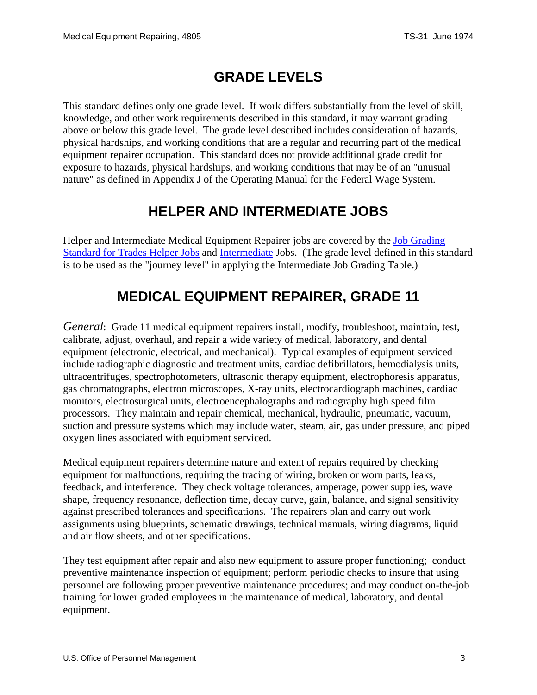# **GRADE LEVELS**

<span id="page-2-0"></span>This standard defines only one grade level. If work differs substantially from the level of skill, knowledge, and other work requirements described in this standard, it may warrant grading above or below this grade level. The grade level described includes consideration of hazards, physical hardships, and working conditions that are a regular and recurring part of the medical equipment repairer occupation. This standard does not provide additional grade credit for exposure to hazards, physical hardships, and working conditions that may be of an "unusual nature" as defined in Appendix J of the Operating Manual for the Federal Wage System.

### **HELPER AND INTERMEDIATE JOBS**

Helper and Intermediate Medical Equipment Repairer jobs are covered by the [Job Grading](/fedclass/fwshelpr.pdf)  [Standard for Trades Helper Jobs](/fedclass/fwshelpr.pdf) and [Intermediate](/fedclass/fwsintm.pdf) Jobs. (The grade level defined in this standard is to be used as the "journey level" in applying the Intermediate Job Grading Table.)

# **MEDICAL EQUIPMENT REPAIRER, GRADE 11**

*General*: Grade 11 medical equipment repairers install, modify, troubleshoot, maintain, test, calibrate, adjust, overhaul, and repair a wide variety of medical, laboratory, and dental equipment (electronic, electrical, and mechanical). Typical examples of equipment serviced include radiographic diagnostic and treatment units, cardiac defibrillators, hemodialysis units, ultracentrifuges, spectrophotometers, ultrasonic therapy equipment, electrophoresis apparatus, gas chromatographs, electron microscopes, X-ray units, electrocardiograph machines, cardiac monitors, electrosurgical units, electroencephalographs and radiography high speed film processors. They maintain and repair chemical, mechanical, hydraulic, pneumatic, vacuum, suction and pressure systems which may include water, steam, air, gas under pressure, and piped oxygen lines associated with equipment serviced.

Medical equipment repairers determine nature and extent of repairs required by checking equipment for malfunctions, requiring the tracing of wiring, broken or worn parts, leaks, feedback, and interference. They check voltage tolerances, amperage, power supplies, wave shape, frequency resonance, deflection time, decay curve, gain, balance, and signal sensitivity against prescribed tolerances and specifications. The repairers plan and carry out work assignments using blueprints, schematic drawings, technical manuals, wiring diagrams, liquid and air flow sheets, and other specifications.

They test equipment after repair and also new equipment to assure proper functioning; conduct preventive maintenance inspection of equipment; perform periodic checks to insure that using personnel are following proper preventive maintenance procedures; and may conduct on-the-job training for lower graded employees in the maintenance of medical, laboratory, and dental equipment.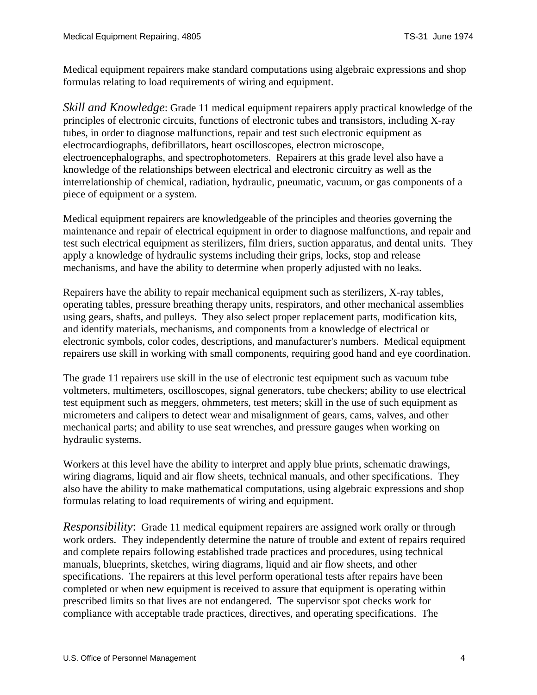Medical equipment repairers make standard computations using algebraic expressions and shop formulas relating to load requirements of wiring and equipment.

*Skill and Knowledge*: Grade 11 medical equipment repairers apply practical knowledge of the principles of electronic circuits, functions of electronic tubes and transistors, including X-ray tubes, in order to diagnose malfunctions, repair and test such electronic equipment as electrocardiographs, defibrillators, heart oscilloscopes, electron microscope, electroencephalographs, and spectrophotometers. Repairers at this grade level also have a knowledge of the relationships between electrical and electronic circuitry as well as the interrelationship of chemical, radiation, hydraulic, pneumatic, vacuum, or gas components of a piece of equipment or a system.

Medical equipment repairers are knowledgeable of the principles and theories governing the maintenance and repair of electrical equipment in order to diagnose malfunctions, and repair and test such electrical equipment as sterilizers, film driers, suction apparatus, and dental units. They apply a knowledge of hydraulic systems including their grips, locks, stop and release mechanisms, and have the ability to determine when properly adjusted with no leaks.

Repairers have the ability to repair mechanical equipment such as sterilizers, X-ray tables, operating tables, pressure breathing therapy units, respirators, and other mechanical assemblies using gears, shafts, and pulleys. They also select proper replacement parts, modification kits, and identify materials, mechanisms, and components from a knowledge of electrical or electronic symbols, color codes, descriptions, and manufacturer's numbers. Medical equipment repairers use skill in working with small components, requiring good hand and eye coordination.

The grade 11 repairers use skill in the use of electronic test equipment such as vacuum tube voltmeters, multimeters, oscilloscopes, signal generators, tube checkers; ability to use electrical test equipment such as meggers, ohmmeters, test meters; skill in the use of such equipment as micrometers and calipers to detect wear and misalignment of gears, cams, valves, and other mechanical parts; and ability to use seat wrenches, and pressure gauges when working on hydraulic systems.

Workers at this level have the ability to interpret and apply blue prints, schematic drawings, wiring diagrams, liquid and air flow sheets, technical manuals, and other specifications. They also have the ability to make mathematical computations, using algebraic expressions and shop formulas relating to load requirements of wiring and equipment.

*Responsibility*: Grade 11 medical equipment repairers are assigned work orally or through work orders. They independently determine the nature of trouble and extent of repairs required and complete repairs following established trade practices and procedures, using technical manuals, blueprints, sketches, wiring diagrams, liquid and air flow sheets, and other specifications. The repairers at this level perform operational tests after repairs have been completed or when new equipment is received to assure that equipment is operating within prescribed limits so that lives are not endangered. The supervisor spot checks work for compliance with acceptable trade practices, directives, and operating specifications. The